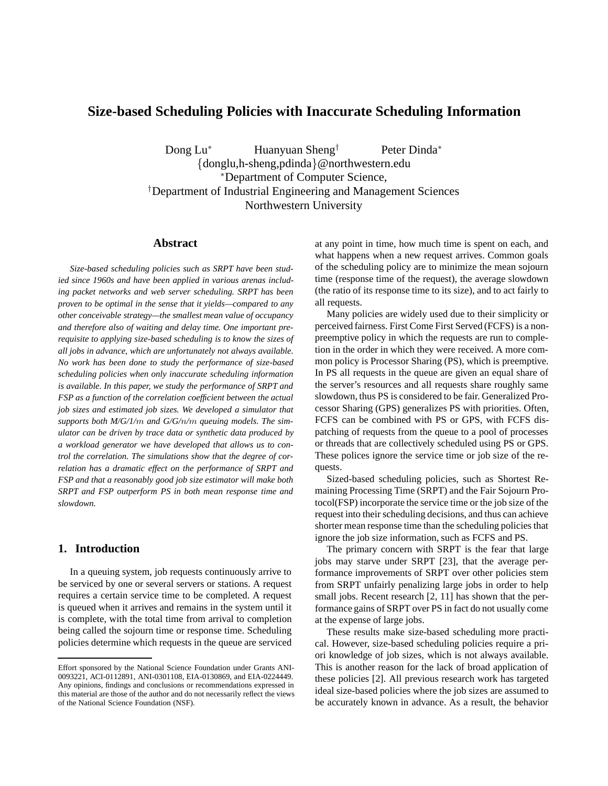# **Size-based Scheduling Policies with Inaccurate Scheduling Information**

Dong Lu<sup>∗</sup> Huanyuan Sheng<sup>†</sup> Peter Dinda<sup>∗</sup> {donglu,h-sheng,pdinda}@northwestern.edu <sup>∗</sup>Department of Computer Science, † Department of Industrial Engineering and Management Sciences Northwestern University

### **Abstract**

*Size-based scheduling policies such as SRPT have been studied since 1960s and have been applied in various arenas including packet networks and web server scheduling. SRPT has been proven to be optimal in the sense that it yields—compared to any other conceivable strategy—the smallest mean value of occupancy and therefore also of waiting and delay time. One important prerequisite to applying size-based scheduling is to know the sizes of all jobs in advance, which are unfortunately not always available. No work has been done to study the performance of size-based scheduling policies when only inaccurate scheduling information is available. In this paper, we study the performance of SRPT and FSP as a function of the correlation coefficient between the actual job sizes and estimated job sizes. We developed a simulator that supports both M/G/1/*m *and G/G/*n*/*m *queuing models. The simulator can be driven by trace data or synthetic data produced by a workload generator we have developed that allows us to control the correlation. The simulations show that the degree of correlation has a dramatic effect on the performance of SRPT and FSP and that a reasonably good job size estimator will make both SRPT and FSP outperform PS in both mean response time and slowdown.*

## **1. Introduction**

In a queuing system, job requests continuously arrive to be serviced by one or several servers or stations. A request requires a certain service time to be completed. A request is queued when it arrives and remains in the system until it is complete, with the total time from arrival to completion being called the sojourn time or response time. Scheduling policies determine which requests in the queue are serviced

at any point in time, how much time is spent on each, and what happens when a new request arrives. Common goals of the scheduling policy are to minimize the mean sojourn time (response time of the request), the average slowdown (the ratio of its response time to its size), and to act fairly to all requests.

Many policies are widely used due to their simplicity or perceived fairness. First Come First Served (FCFS) is a nonpreemptive policy in which the requests are run to completion in the order in which they were received. A more common policy is Processor Sharing (PS), which is preemptive. In PS all requests in the queue are given an equal share of the server's resources and all requests share roughly same slowdown, thus PS is considered to be fair. Generalized Processor Sharing (GPS) generalizes PS with priorities. Often, FCFS can be combined with PS or GPS, with FCFS dispatching of requests from the queue to a pool of processes or threads that are collectively scheduled using PS or GPS. These polices ignore the service time or job size of the requests.

Sized-based scheduling policies, such as Shortest Remaining Processing Time (SRPT) and the Fair Sojourn Protocol(FSP) incorporate the service time or the job size of the request into their scheduling decisions, and thus can achieve shorter mean response time than the scheduling policies that ignore the job size information, such as FCFS and PS.

The primary concern with SRPT is the fear that large jobs may starve under SRPT [23], that the average performance improvements of SRPT over other policies stem from SRPT unfairly penalizing large jobs in order to help small jobs. Recent research [2, 11] has shown that the performance gains of SRPT over PS in fact do not usually come at the expense of large jobs.

These results make size-based scheduling more practical. However, size-based scheduling policies require a priori knowledge of job sizes, which is not always available. This is another reason for the lack of broad application of these policies [2]. All previous research work has targeted ideal size-based policies where the job sizes are assumed to be accurately known in advance. As a result, the behavior

Effort sponsored by the National Science Foundation under Grants ANI-0093221, ACI-0112891, ANI-0301108, EIA-0130869, and EIA-0224449. Any opinions, findings and conclusions or recommendations expressed in this material are those of the author and do not necessarily reflect the views of the National Science Foundation (NSF).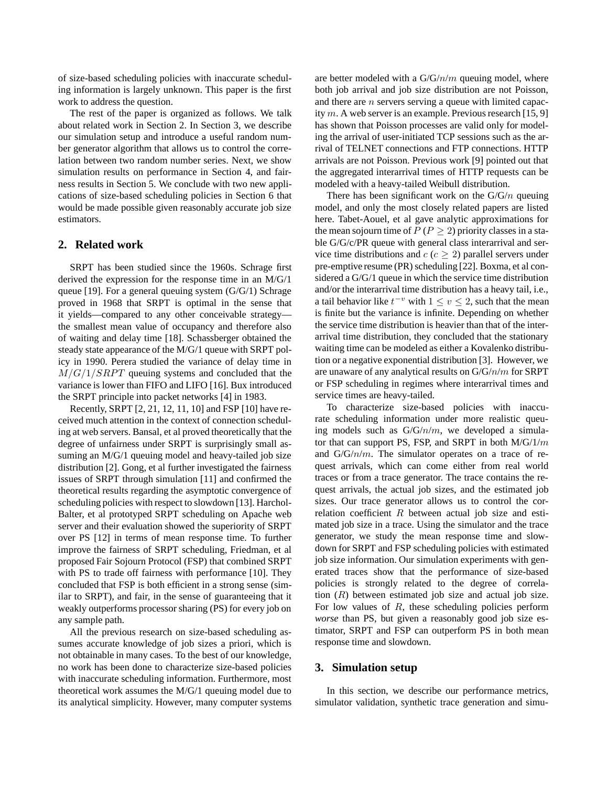of size-based scheduling policies with inaccurate scheduling information is largely unknown. This paper is the first work to address the question.

The rest of the paper is organized as follows. We talk about related work in Section 2. In Section 3, we describe our simulation setup and introduce a useful random number generator algorithm that allows us to control the correlation between two random number series. Next, we show simulation results on performance in Section 4, and fairness results in Section 5. We conclude with two new applications of size-based scheduling policies in Section 6 that would be made possible given reasonably accurate job size estimators.

## **2. Related work**

SRPT has been studied since the 1960s. Schrage first derived the expression for the response time in an M/G/1 queue [19]. For a general queuing system  $(G/G/1)$  Schrage proved in 1968 that SRPT is optimal in the sense that it yields—compared to any other conceivable strategy the smallest mean value of occupancy and therefore also of waiting and delay time [18]. Schassberger obtained the steady state appearance of the M/G/1 queue with SRPT policy in 1990. Perera studied the variance of delay time in  $M/G/1/SRPT$  queuing systems and concluded that the variance is lower than FIFO and LIFO [16]. Bux introduced the SRPT principle into packet networks [4] in 1983.

Recently, SRPT [2, 21, 12, 11, 10] and FSP [10] have received much attention in the context of connection scheduling at web servers. Bansal, et al proved theoretically that the degree of unfairness under SRPT is surprisingly small assuming an M/G/1 queuing model and heavy-tailed job size distribution [2]. Gong, et al further investigated the fairness issues of SRPT through simulation [11] and confirmed the theoretical results regarding the asymptotic convergence of scheduling policies with respect to slowdown [13]. Harchol-Balter, et al prototyped SRPT scheduling on Apache web server and their evaluation showed the superiority of SRPT over PS [12] in terms of mean response time. To further improve the fairness of SRPT scheduling, Friedman, et al proposed Fair Sojourn Protocol (FSP) that combined SRPT with PS to trade off fairness with performance [10]. They concluded that FSP is both efficient in a strong sense (similar to SRPT), and fair, in the sense of guaranteeing that it weakly outperforms processor sharing (PS) for every job on any sample path.

All the previous research on size-based scheduling assumes accurate knowledge of job sizes a priori, which is not obtainable in many cases. To the best of our knowledge, no work has been done to characterize size-based policies with inaccurate scheduling information. Furthermore, most theoretical work assumes the M/G/1 queuing model due to its analytical simplicity. However, many computer systems

are better modeled with a  $G/G/n/m$  queuing model, where both job arrival and job size distribution are not Poisson, and there are *n* servers serving a queue with limited capacity m. A web server is an example. Previous research [15, 9] has shown that Poisson processes are valid only for modeling the arrival of user-initiated TCP sessions such as the arrival of TELNET connections and FTP connections. HTTP arrivals are not Poisson. Previous work [9] pointed out that the aggregated interarrival times of HTTP requests can be modeled with a heavy-tailed Weibull distribution.

There has been significant work on the  $G/G/n$  queuing model, and only the most closely related papers are listed here. Tabet-Aouel, et al gave analytic approximations for the mean sojourn time of  $P(P \ge 2)$  priority classes in a stable G/G/c/PR queue with general class interarrival and service time distributions and  $c$  ( $c \geq 2$ ) parallel servers under pre-emptive resume (PR) scheduling [22]. Boxma, et al considered a G/G/1 queue in which the service time distribution and/or the interarrival time distribution has a heavy tail, i.e., a tail behavior like  $t^{-v}$  with  $1 \le v \le 2$ , such that the mean is finite but the variance is infinite. Depending on whether the service time distribution is heavier than that of the interarrival time distribution, they concluded that the stationary waiting time can be modeled as either a Kovalenko distribution or a negative exponential distribution [3]. However, we are unaware of any analytical results on  $G/G/n/m$  for SRPT or FSP scheduling in regimes where interarrival times and service times are heavy-tailed.

To characterize size-based policies with inaccurate scheduling information under more realistic queuing models such as  $G/G/n/m$ , we developed a simulator that can support PS, FSP, and SRPT in both  $M/G/1/m$ and  $G/G/n/m$ . The simulator operates on a trace of request arrivals, which can come either from real world traces or from a trace generator. The trace contains the request arrivals, the actual job sizes, and the estimated job sizes. Our trace generator allows us to control the correlation coefficient  $R$  between actual job size and estimated job size in a trace. Using the simulator and the trace generator, we study the mean response time and slowdown for SRPT and FSP scheduling policies with estimated job size information. Our simulation experiments with generated traces show that the performance of size-based policies is strongly related to the degree of correlation  $(R)$  between estimated job size and actual job size. For low values of  $R$ , these scheduling policies perform *worse* than PS, but given a reasonably good job size estimator, SRPT and FSP can outperform PS in both mean response time and slowdown.

### **3. Simulation setup**

In this section, we describe our performance metrics, simulator validation, synthetic trace generation and simu-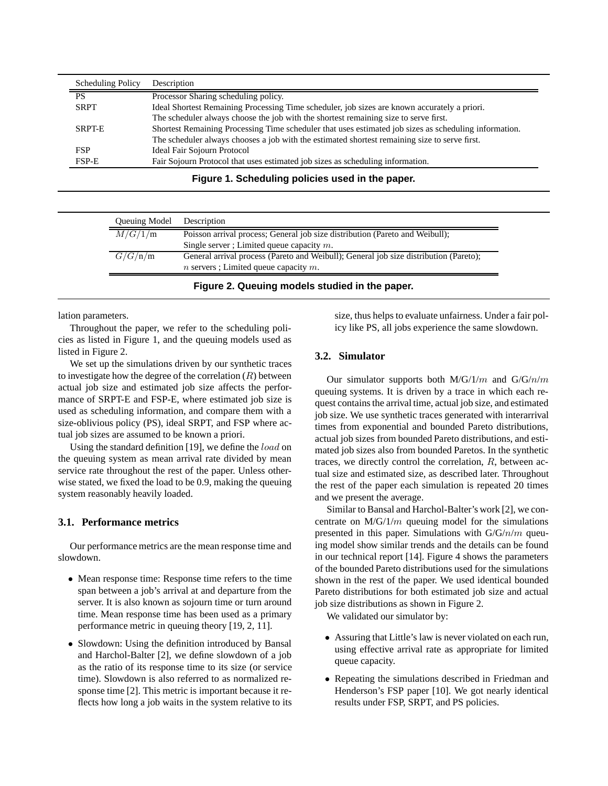| <b>Scheduling Policy</b> | Description                                                                                           |
|--------------------------|-------------------------------------------------------------------------------------------------------|
| <b>PS</b>                | Processor Sharing scheduling policy.                                                                  |
| <b>SRPT</b>              | Ideal Shortest Remaining Processing Time scheduler, job sizes are known accurately a priori.          |
|                          | The scheduler always choose the job with the shortest remaining size to serve first.                  |
| <b>SRPT-E</b>            | Shortest Remaining Processing Time scheduler that uses estimated job sizes as scheduling information. |
|                          | The scheduler always chooses a job with the estimated shortest remaining size to serve first.         |
| <b>FSP</b>               | Ideal Fair Sojourn Protocol                                                                           |
| FSP-E                    | Fair Sojourn Protocol that uses estimated job sizes as scheduling information.                        |

**Figure 1. Scheduling policies used in the paper.**

| Queuing Model | Description                                                                           |
|---------------|---------------------------------------------------------------------------------------|
| M/G/1/m       | Poisson arrival process; General job size distribution (Pareto and Weibull);          |
|               | Single server ; Limited queue capacity $m$ .                                          |
| G/G/n/m       | General arrival process (Pareto and Weibull); General job size distribution (Pareto); |
|               | $n$ servers ; Limited queue capacity $m$ .                                            |

lation parameters.

Throughout the paper, we refer to the scheduling policies as listed in Figure 1, and the queuing models used as listed in Figure 2.

We set up the simulations driven by our synthetic traces to investigate how the degree of the correlation  $(R)$  between actual job size and estimated job size affects the performance of SRPT-E and FSP-E, where estimated job size is used as scheduling information, and compare them with a size-oblivious policy (PS), ideal SRPT, and FSP where actual job sizes are assumed to be known a priori.

Using the standard definition [19], we define the *load* on the queuing system as mean arrival rate divided by mean service rate throughout the rest of the paper. Unless otherwise stated, we fixed the load to be 0.9, making the queuing system reasonably heavily loaded.

## **3.1. Performance metrics**

Our performance metrics are the mean response time and slowdown.

- Mean response time: Response time refers to the time span between a job's arrival at and departure from the server. It is also known as sojourn time or turn around time. Mean response time has been used as a primary performance metric in queuing theory [19, 2, 11].
- Slowdown: Using the definition introduced by Bansal and Harchol-Balter [2], we define slowdown of a job as the ratio of its response time to its size (or service time). Slowdown is also referred to as normalized response time [2]. This metric is important because it reflects how long a job waits in the system relative to its

size, thus helps to evaluate unfairness. Under a fair policy like PS, all jobs experience the same slowdown.

## **3.2. Simulator**

Our simulator supports both  $M/G/1/m$  and  $G/G/n/m$ queuing systems. It is driven by a trace in which each request contains the arrival time, actual job size, and estimated job size. We use synthetic traces generated with interarrival times from exponential and bounded Pareto distributions, actual job sizes from bounded Pareto distributions, and estimated job sizes also from bounded Paretos. In the synthetic traces, we directly control the correlation, R, between actual size and estimated size, as described later. Throughout the rest of the paper each simulation is repeated 20 times and we present the average.

Similar to Bansal and Harchol-Balter's work [2], we concentrate on  $M/G/1/m$  queuing model for the simulations presented in this paper. Simulations with  $G/G/n/m$  queuing model show similar trends and the details can be found in our technical report [14]. Figure 4 shows the parameters of the bounded Pareto distributions used for the simulations shown in the rest of the paper. We used identical bounded Pareto distributions for both estimated job size and actual job size distributions as shown in Figure 2.

We validated our simulator by:

- Assuring that Little's law is never violated on each run, using effective arrival rate as appropriate for limited queue capacity.
- Repeating the simulations described in Friedman and Henderson's FSP paper [10]. We got nearly identical results under FSP, SRPT, and PS policies.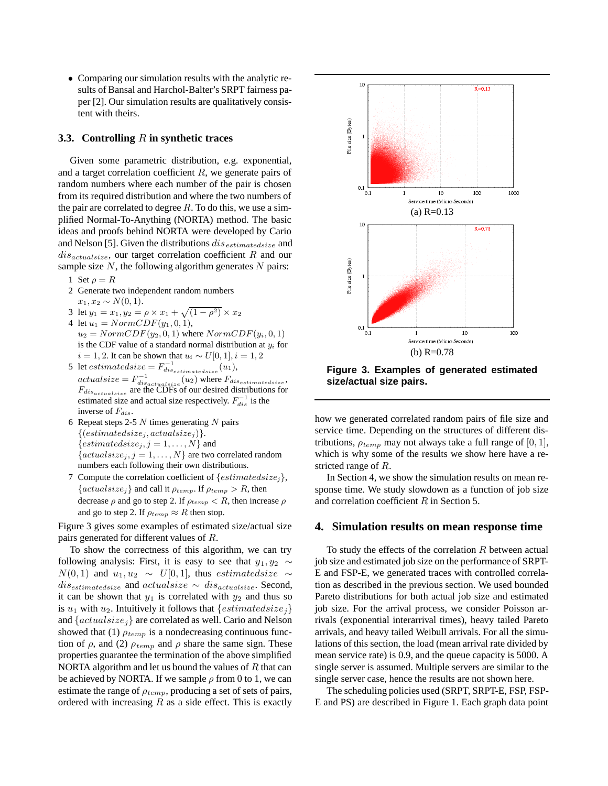• Comparing our simulation results with the analytic results of Bansal and Harchol-Balter's SRPT fairness paper [2]. Our simulation results are qualitatively consistent with theirs.

#### **3.3. Controlling** R **in synthetic traces**

Given some parametric distribution, e.g. exponential, and a target correlation coefficient  $R$ , we generate pairs of random numbers where each number of the pair is chosen from its required distribution and where the two numbers of the pair are correlated to degree  $R$ . To do this, we use a simplified Normal-To-Anything (NORTA) method. The basic ideas and proofs behind NORTA were developed by Cario and Nelson [5]. Given the distributions dis*estimatedsize* and dis*actualsize*, our target correlation coefficient R and our sample size  $N$ , the following algorithm generates  $N$  pairs:

- 1 Set  $\rho = R$
- 2 Generate two independent random numbers  $x_1, x_2 \sim N(0, 1).$
- 3 let  $y_1 = x_1, y_2 = \rho \times x_1 + \sqrt{(1 \rho^2)} \times x_2$
- 4 let  $u_1 = NormCDF(y_1, 0, 1),$  $u_2 = NormCDF(y_2, 0, 1)$  where  $NormCDF(y_i, 0, 1)$ is the CDF value of a standard normal distribution at y*<sup>i</sup>* for  $i = 1, 2$ . It can be shown that  $u_i$  ∼  $U[0, 1], i = 1, 2$
- 5 let  $estimated size = F_{dis_{estimated size}}^{-1}(u_1)$ ,  $actualsize = F_{dis_{actualsize}}^{-1}(u_2)$  where  $F_{dis_{estimatedsize}}$ , F*disactualsize* are the CDFs of our desired distributions for estimated size and actual size respectively.  $F_{dis}^{-1}$  is the inverse of F*dis*.
- 6 Repeat steps 2-5  $N$  times generating  $N$  pairs  $\{ (estimated size_j, actual size_j) \}.$ { $estimated size_j, j = 1, \ldots, N$ } and  $\{actualsize_j, j = 1, \ldots, N\}$  are two correlated random numbers each following their own distributions.
- 7 Compute the correlation coefficient of {estimatedsize*<sup>j</sup>*},  ${[actualsize_j]}$  and call it  $\rho_{temp}$ . If  $\rho_{temp} > R$ , then decrease  $\rho$  and go to step 2. If  $\rho_{temp} < R$ , then increase  $\rho$ and go to step 2. If  $\rho_{temp} \approx R$  then stop.

Figure 3 gives some examples of estimated size/actual size pairs generated for different values of R.

To show the correctness of this algorithm, we can try following analysis: First, it is easy to see that  $y_1, y_2 \sim$  $N(0, 1)$  and  $u_1, u_2 \sim U[0, 1]$ , thus *estimatedsize* ∼ dis*estimatedsize* and actualsize <sup>∼</sup> dis*actualsize*. Second, it can be shown that  $y_1$  is correlated with  $y_2$  and thus so is  $u_1$  with  $u_2$ . Intuitively it follows that  $\{estimated size_i\}$ and {actualsize*<sup>j</sup>*} are correlated as well. Cario and Nelson showed that (1)  $\rho_{temp}$  is a nondecreasing continuous function of  $\rho$ , and (2)  $\rho_{temp}$  and  $\rho$  share the same sign. These properties guarantee the termination of the above simplified NORTA algorithm and let us bound the values of  $R$  that can be achieved by NORTA. If we sample  $\rho$  from 0 to 1, we can estimate the range of  $\rho_{temp}$ , producing a set of sets of pairs, ordered with increasing  $R$  as a side effect. This is exactly



**Figure 3. Examples of generated estimated size/actual size pairs.**

how we generated correlated random pairs of file size and service time. Depending on the structures of different distributions,  $\rho_{temp}$  may not always take a full range of  $[0, 1]$ , which is why some of the results we show here have a restricted range of R.

In Section 4, we show the simulation results on mean response time. We study slowdown as a function of job size and correlation coefficient R in Section 5.

#### **4. Simulation results on mean response time**

To study the effects of the correlation  $R$  between actual job size and estimated job size on the performance of SRPT-E and FSP-E, we generated traces with controlled correlation as described in the previous section. We used bounded Pareto distributions for both actual job size and estimated job size. For the arrival process, we consider Poisson arrivals (exponential interarrival times), heavy tailed Pareto arrivals, and heavy tailed Weibull arrivals. For all the simulations of this section, the load (mean arrival rate divided by mean service rate) is 0.9, and the queue capacity is 5000. A single server is assumed. Multiple servers are similar to the single server case, hence the results are not shown here.

The scheduling policies used (SRPT, SRPT-E, FSP, FSP-E and PS) are described in Figure 1. Each graph data point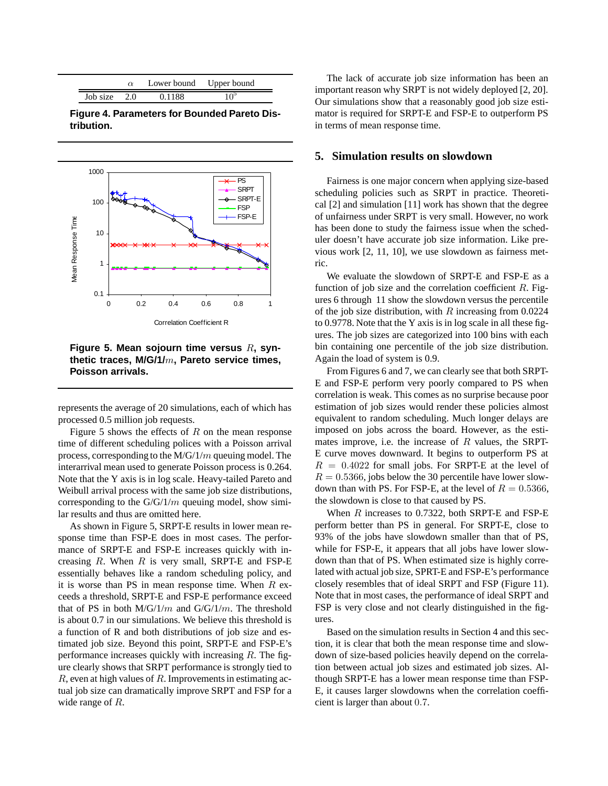|          |     | Lower bound Upper bound |     |
|----------|-----|-------------------------|-----|
| Job size | 2.0 | 0.1188                  | 10° |

**Figure 4. Parameters for Bounded Pareto Distribution.**



**Figure 5. Mean sojourn time versus** R**, synthetic traces, M/G/1/**m**, Pareto service times, Poisson arrivals.**

represents the average of 20 simulations, each of which has processed 0.5 million job requests.

Figure 5 shows the effects of  $R$  on the mean response time of different scheduling polices with a Poisson arrival process, corresponding to the M/G/1/m queuing model. The interarrival mean used to generate Poisson process is 0.264. Note that the Y axis is in log scale. Heavy-tailed Pareto and Weibull arrival process with the same job size distributions, corresponding to the  $G/G/1/m$  queuing model, show similar results and thus are omitted here.

As shown in Figure 5, SRPT-E results in lower mean response time than FSP-E does in most cases. The performance of SRPT-E and FSP-E increases quickly with increasing  $R$ . When  $R$  is very small, SRPT-E and FSP-E essentially behaves like a random scheduling policy, and it is worse than PS in mean response time. When  $R$  exceeds a threshold, SRPT-E and FSP-E performance exceed that of PS in both  $M/G/1/m$  and  $G/G/1/m$ . The threshold is about 0.7 in our simulations. We believe this threshold is a function of R and both distributions of job size and estimated job size. Beyond this point, SRPT-E and FSP-E's performance increases quickly with increasing  $R$ . The figure clearly shows that SRPT performance is strongly tied to  $R$ , even at high values of  $R$ . Improvements in estimating actual job size can dramatically improve SRPT and FSP for a wide range of R.

The lack of accurate job size information has been an important reason why SRPT is not widely deployed [2, 20]. Our simulations show that a reasonably good job size estimator is required for SRPT-E and FSP-E to outperform PS in terms of mean response time.

### **5. Simulation results on slowdown**

Fairness is one major concern when applying size-based scheduling policies such as SRPT in practice. Theoretical [2] and simulation [11] work has shown that the degree of unfairness under SRPT is very small. However, no work has been done to study the fairness issue when the scheduler doesn't have accurate job size information. Like previous work [2, 11, 10], we use slowdown as fairness metric.

We evaluate the slowdown of SRPT-E and FSP-E as a function of job size and the correlation coefficient  $R$ . Figures 6 through 11 show the slowdown versus the percentile of the job size distribution, with  $R$  increasing from 0.0224 to 0.9778. Note that the Y axis is in log scale in all these figures. The job sizes are categorized into 100 bins with each bin containing one percentile of the job size distribution. Again the load of system is 0.9.

From Figures 6 and 7, we can clearly see that both SRPT-E and FSP-E perform very poorly compared to PS when correlation is weak. This comes as no surprise because poor estimation of job sizes would render these policies almost equivalent to random scheduling. Much longer delays are imposed on jobs across the board. However, as the estimates improve, i.e. the increase of  $R$  values, the SRPT-E curve moves downward. It begins to outperform PS at  $R = 0.4022$  for small jobs. For SRPT-E at the level of  $R = 0.5366$ , jobs below the 30 percentile have lower slowdown than with PS. For FSP-E, at the level of  $R = 0.5366$ , the slowdown is close to that caused by PS.

When  $R$  increases to 0.7322, both SRPT-E and FSP-E perform better than PS in general. For SRPT-E, close to 93% of the jobs have slowdown smaller than that of PS, while for FSP-E, it appears that all jobs have lower slowdown than that of PS. When estimated size is highly correlated with actual job size, SPRT-E and FSP-E's performance closely resembles that of ideal SRPT and FSP (Figure 11). Note that in most cases, the performance of ideal SRPT and FSP is very close and not clearly distinguished in the figures.

Based on the simulation results in Section 4 and this section, it is clear that both the mean response time and slowdown of size-based policies heavily depend on the correlation between actual job sizes and estimated job sizes. Although SRPT-E has a lower mean response time than FSP-E, it causes larger slowdowns when the correlation coefficient is larger than about 0.7.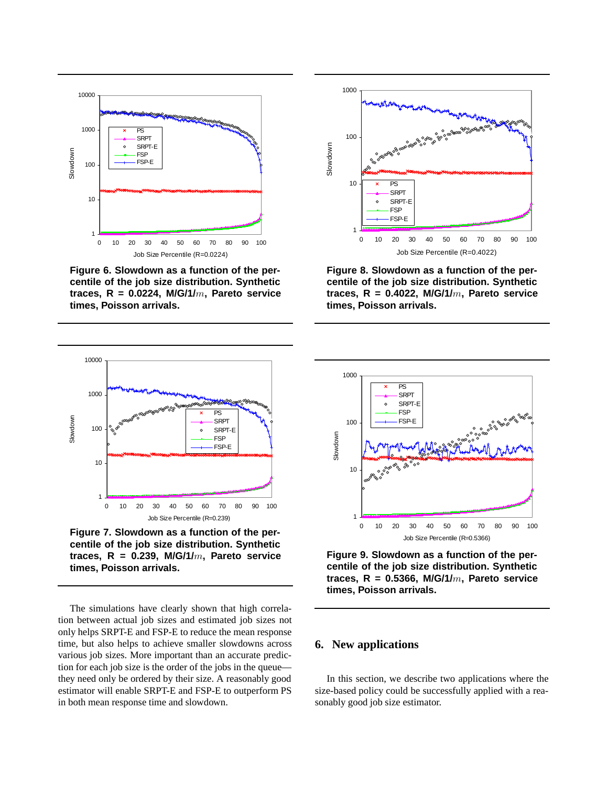

**Figure 6. Slowdown as a function of the percentile of the job size distribution. Synthetic traces, R = 0.0224, M/G/1/**m**, Pareto service times, Poisson arrivals.**



**Figure 8. Slowdown as a function of the percentile of the job size distribution. Synthetic traces, R = 0.4022, M/G/1/**m**, Pareto service times, Poisson arrivals.**



**centile of the job size distribution. Synthetic traces, R = 0.239, M/G/1/**m**, Pareto service times, Poisson arrivals.**

The simulations have clearly shown that high correlation between actual job sizes and estimated job sizes not only helps SRPT-E and FSP-E to reduce the mean response time, but also helps to achieve smaller slowdowns across various job sizes. More important than an accurate prediction for each job size is the order of the jobs in the queue they need only be ordered by their size. A reasonably good estimator will enable SRPT-E and FSP-E to outperform PS in both mean response time and slowdown.



**Figure 9. Slowdown as a function of the percentile of the job size distribution. Synthetic traces, R = 0.5366, M/G/1/**m**, Pareto service times, Poisson arrivals.**

## **6. New applications**

In this section, we describe two applications where the size-based policy could be successfully applied with a reasonably good job size estimator.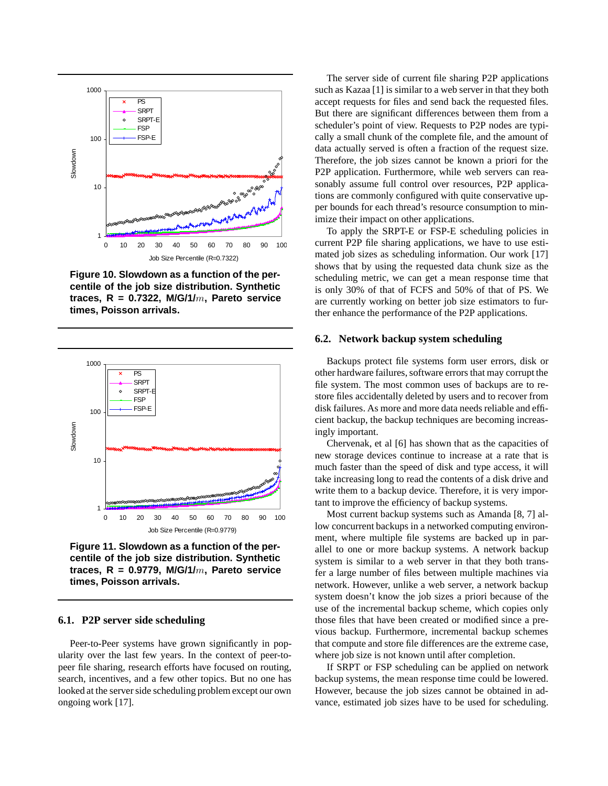

**Figure 10. Slowdown as a function of the percentile of the job size distribution. Synthetic traces, R = 0.7322, M/G/1/**m**, Pareto service times, Poisson arrivals.**



**Figure 11. Slowdown as a function of the percentile of the job size distribution. Synthetic traces, R = 0.9779, M/G/1/**m**, Pareto service times, Poisson arrivals.**

### **6.1. P2P server side scheduling**

Peer-to-Peer systems have grown significantly in popularity over the last few years. In the context of peer-topeer file sharing, research efforts have focused on routing, search, incentives, and a few other topics. But no one has looked at the server side scheduling problem except our own ongoing work [17].

The server side of current file sharing P2P applications such as Kazaa [1] is similar to a web server in that they both accept requests for files and send back the requested files. But there are significant differences between them from a scheduler's point of view. Requests to P2P nodes are typically a small chunk of the complete file, and the amount of data actually served is often a fraction of the request size. Therefore, the job sizes cannot be known a priori for the P2P application. Furthermore, while web servers can reasonably assume full control over resources, P2P applications are commonly configured with quite conservative upper bounds for each thread's resource consumption to minimize their impact on other applications.

To apply the SRPT-E or FSP-E scheduling policies in current P2P file sharing applications, we have to use estimated job sizes as scheduling information. Our work [17] shows that by using the requested data chunk size as the scheduling metric, we can get a mean response time that is only 30% of that of FCFS and 50% of that of PS. We are currently working on better job size estimators to further enhance the performance of the P2P applications.

#### **6.2. Network backup system scheduling**

Backups protect file systems form user errors, disk or other hardware failures, software errors that may corrupt the file system. The most common uses of backups are to restore files accidentally deleted by users and to recover from disk failures. As more and more data needs reliable and efficient backup, the backup techniques are becoming increasingly important.

Chervenak, et al [6] has shown that as the capacities of new storage devices continue to increase at a rate that is much faster than the speed of disk and type access, it will take increasing long to read the contents of a disk drive and write them to a backup device. Therefore, it is very important to improve the efficiency of backup systems.

Most current backup systems such as Amanda [8, 7] allow concurrent backups in a networked computing environment, where multiple file systems are backed up in parallel to one or more backup systems. A network backup system is similar to a web server in that they both transfer a large number of files between multiple machines via network. However, unlike a web server, a network backup system doesn't know the job sizes a priori because of the use of the incremental backup scheme, which copies only those files that have been created or modified since a previous backup. Furthermore, incremental backup schemes that compute and store file differences are the extreme case, where job size is not known until after completion.

If SRPT or FSP scheduling can be applied on network backup systems, the mean response time could be lowered. However, because the job sizes cannot be obtained in advance, estimated job sizes have to be used for scheduling.